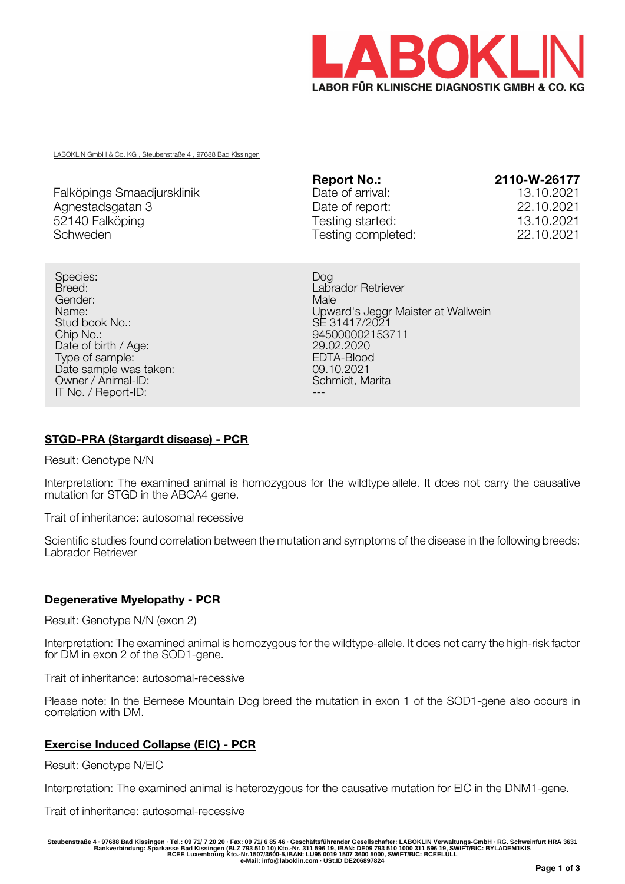

LABOKLIN GmbH & Co. KG , Steubenstraße 4 , 97688 Bad Kissingen

|                            | <b>Report No.:</b> | 2110-W-26177 |
|----------------------------|--------------------|--------------|
| Falköpings Smaadjursklinik | Date of arrival:   | 13.10.2021   |
| Agnestadsgatan 3           | Date of report:    | 22.10.2021   |
| 52140 Falköping            | Testing started:   | 13.10.2021   |
| Schweden                   | Testing completed: | 22.10.2021   |

Species: Dog Breed: **Labrador Retriever** Gender: Male Stud book No.: SE 31417/2021<br>Chip No.: SE 31417/2021 Date of birth / Age: 29.02.2020<br>
Type of sample: 29.02.2020<br>
FDTA-Blood Type of sample: EDTA-Blood EDTA-Blood EDTA-Blood EDTA-Blood EDTA-Blood EDTA-Blood EDTA-Blood EDTA-Blood EDTA-Blood EDTA-Blood EDTA-Blood EDTA-Blood EDTA-Blood EDTA-Blood EDTA-Blood EDTA-Blood EDTA-Blood EDTA-Blood EDTA-Blo Date sample was taken: 09.10.2021<br>
Owner / Animal-ID: 09.10.2021 Owner / Animal-ID: IT No. / Report-ID:

Name:<br>
Upward's Jeggr Maister at Wallwein<br>
SE 31417/2021 945000002153711<br>29.02.2020

# **STGD-PRA (Stargardt disease) - PCR**

Result: Genotype N/N

Interpretation: The examined animal is homozygous for the wildtype allele. It does not carry the causative mutation for STGD in the ABCA4 gene.

Trait of inheritance: autosomal recessive

Scientific studies found correlation between the mutation and symptoms of the disease in the following breeds: Labrador Retriever

#### **Degenerative Myelopathy - PCR**

Result: Genotype N/N (exon 2)

Interpretation: The examined animal is homozygous for the wildtype-allele. It does not carry the high-risk factor for DM in exon 2 of the SOD1-gene.

Trait of inheritance: autosomal-recessive

Please note: In the Bernese Mountain Dog breed the mutation in exon 1 of the SOD1-gene also occurs in correlation with DM.

#### **Exercise Induced Collapse (EIC) - PCR**

Result: Genotype N/EIC

Interpretation: The examined animal is heterozygous for the causative mutation for EIC in the DNM1-gene.

Trait of inheritance: autosomal-recessive

Steubenstraße 4 · 97688 Bad Kissingen · Tel.: 09 71/ 7 20 20 · Fax: 09 71/ 6 85 46 · Geschäftsführender Gesellschafter: LABOKLIN Verwaltungs-GmbH · RG. Schweinfurt HRA 3631<br>Bankverbindung: Sparkasse Bad Kissingen (BLZ 793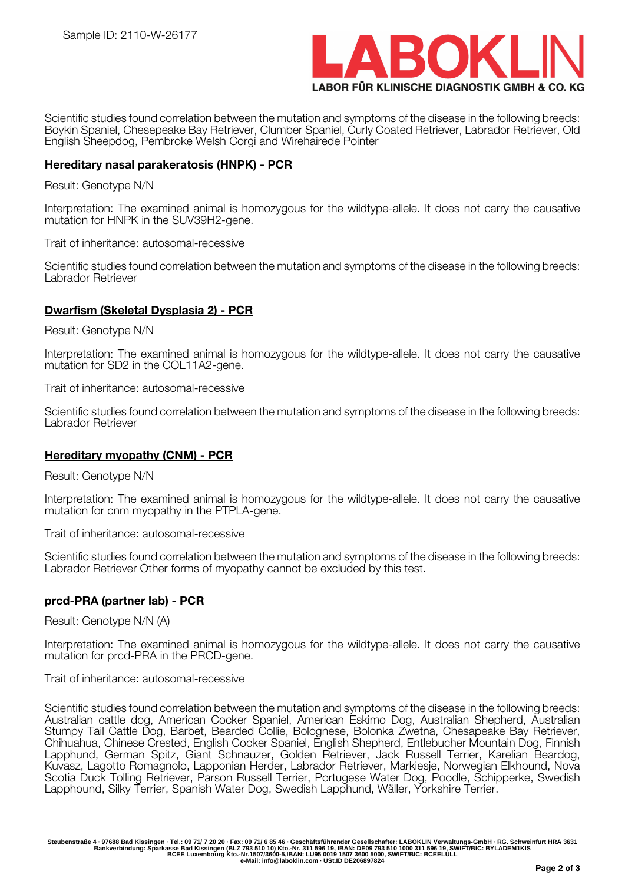

Scientific studies found correlation between the mutation and symptoms of the disease in the following breeds: Boykin Spaniel, Chesepeake Bay Retriever, Clumber Spaniel, Curly Coated Retriever, Labrador Retriever, Old English Sheepdog, Pembroke Welsh Corgi and Wirehairede Pointer

### **Hereditary nasal parakeratosis (HNPK) - PCR**

#### Result: Genotype N/N

Interpretation: The examined animal is homozygous for the wildtype-allele. It does not carry the causative mutation for HNPK in the SUV39H2-gene.

Trait of inheritance: autosomal-recessive

Scientific studies found correlation between the mutation and symptoms of the disease in the following breeds: Labrador Retriever

# **Dwarfism (Skeletal Dysplasia 2) - PCR**

Result: Genotype N/N

Interpretation: The examined animal is homozygous for the wildtype-allele. It does not carry the causative mutation for SD2 in the COL11A2-gene.

Trait of inheritance: autosomal-recessive

Scientific studies found correlation between the mutation and symptoms of the disease in the following breeds: Labrador Retriever

#### **Hereditary myopathy (CNM) - PCR**

Result: Genotype N/N

Interpretation: The examined animal is homozygous for the wildtype-allele. It does not carry the causative mutation for cnm myopathy in the PTPLA-gene.

Trait of inheritance: autosomal-recessive

Scientific studies found correlation between the mutation and symptoms of the disease in the following breeds: Labrador Retriever Other forms of myopathy cannot be excluded by this test.

#### **prcd-PRA (partner lab) - PCR**

Result: Genotype N/N (A)

Interpretation: The examined animal is homozygous for the wildtype-allele. It does not carry the causative mutation for prcd-PRA in the PRCD-gene.

Trait of inheritance: autosomal-recessive

Scientific studies found correlation between the mutation and symptoms of the disease in the following breeds: Australian cattle dog, American Cocker Spaniel, American Eskimo Dog, Australian Shepherd, Australian Stumpy Tail Cattle Dog, Barbet, Bearded Collie, Bolognese, Bolonka Zwetna, Chesapeake Bay Retriever, Chihuahua, Chinese Crested, English Cocker Spaniel, English Shepherd, Entlebucher Mountain Dog, Finnish Lapphund, German Spitz, Giant Schnauzer, Golden Retriever, Jack Russell Terrier, Karelian Beardog, Kuvasz, Lagotto Romagnolo, Lapponian Herder, Labrador Retriever, Markiesje, Norwegian Elkhound, Nova Scotia Duck Tolling Retriever, Parson Russell Terrier, Portugese Water Dog, Poodle, Schipperke, Swedish Lapphound, Silky Terrier, Spanish Water Dog, Swedish Lapphund, Wäller, Yorkshire Terrier.